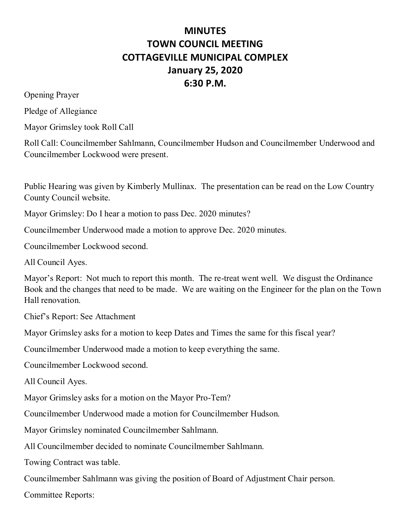## **MINUTES TOWN COUNCIL MEETING COTTAGEVILLE MUNICIPAL COMPLEX January 25, 2020 6:30 P.M.**

Opening Prayer

Pledge of Allegiance

Mayor Grimsley took Roll Call

Roll Call: Councilmember Sahlmann, Councilmember Hudson and Councilmember Underwood and Councilmember Lockwood were present.

Public Hearing was given by Kimberly Mullinax. The presentation can be read on the Low Country County Council website.

Mayor Grimsley: Do I hear a motion to pass Dec. 2020 minutes?

Councilmember Underwood made a motion to approve Dec. 2020 minutes.

Councilmember Lockwood second.

All Council Ayes.

Mayor's Report: Not much to report this month. The re-treat went well. We disgust the Ordinance Book and the changes that need to be made. We are waiting on the Engineer for the plan on the Town Hall renovation.

Chief's Report: See Attachment

Mayor Grimsley asks for a motion to keep Dates and Times the same for this fiscal year?

Councilmember Underwood made a motion to keep everything the same.

Councilmember Lockwood second.

All Council Ayes.

Mayor Grimsley asks for a motion on the Mayor Pro-Tem?

Councilmember Underwood made a motion for Councilmember Hudson.

Mayor Grimsley nominated Councilmember Sahlmann.

All Councilmember decided to nominate Councilmember Sahlmann.

Towing Contract was table.

Councilmember Sahlmann was giving the position of Board of Adjustment Chair person.

Committee Reports: